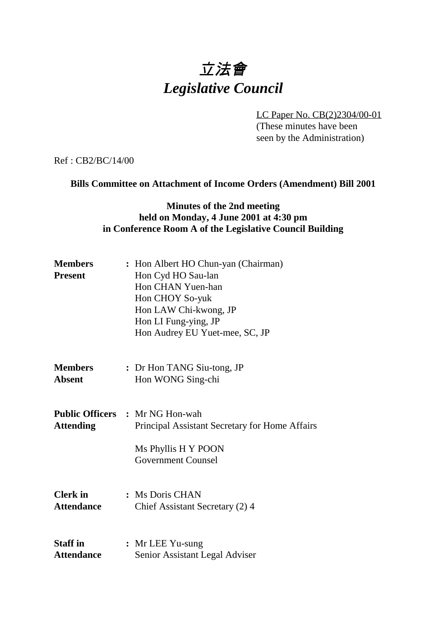# 立法會 *Legislative Council*

LC Paper No. CB(2)2304/00-01

(These minutes have been seen by the Administration)

Ref : CB2/BC/14/00

### **Bills Committee on Attachment of Income Orders (Amendment) Bill 2001**

## **Minutes of the 2nd meeting held on Monday, 4 June 2001 at 4:30 pm in Conference Room A of the Legislative Council Building**

| <b>Members</b><br><b>Present</b> | : Hon Albert HO Chun-yan (Chairman)<br>Hon Cyd HO Sau-lan<br>Hon CHAN Yuen-han<br>Hon CHOY So-yuk<br>Hon LAW Chi-kwong, JP<br>Hon LI Fung-ying, JP<br>Hon Audrey EU Yuet-mee, SC, JP |
|----------------------------------|--------------------------------------------------------------------------------------------------------------------------------------------------------------------------------------|
| <b>Members</b>                   | : Dr Hon TANG Siu-tong, JP                                                                                                                                                           |
| <b>Absent</b>                    | Hon WONG Sing-chi                                                                                                                                                                    |
| <b>Attending</b>                 | <b>Public Officers : Mr NG Hon-wah</b><br>Principal Assistant Secretary for Home Affairs<br>Ms Phyllis H Y POON<br><b>Government Counsel</b>                                         |
| <b>Clerk</b> in                  | : Ms Doris CHAN                                                                                                                                                                      |
| <b>Attendance</b>                | Chief Assistant Secretary (2) 4                                                                                                                                                      |
| <b>Staff</b> in                  | : Mr LEE Yu-sung                                                                                                                                                                     |
| <b>Attendance</b>                | Senior Assistant Legal Adviser                                                                                                                                                       |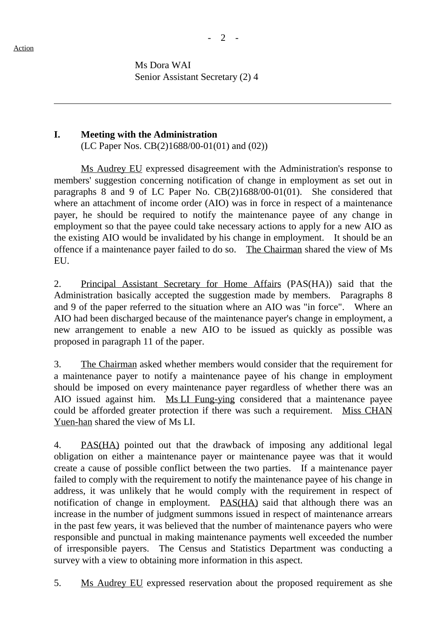ı

Ms Dora WAI Senior Assistant Secretary (2) 4

#### **I. Meeting with the Administration**

(LC Paper Nos. CB(2)1688/00-01(01) and (02))

Ms Audrey EU expressed disagreement with the Administration's response to members' suggestion concerning notification of change in employment as set out in paragraphs 8 and 9 of LC Paper No. CB(2)1688/00-01(01). She considered that where an attachment of income order (AIO) was in force in respect of a maintenance payer, he should be required to notify the maintenance payee of any change in employment so that the payee could take necessary actions to apply for a new AIO as the existing AIO would be invalidated by his change in employment. It should be an offence if a maintenance payer failed to do so. The Chairman shared the view of Ms EU.

2. Principal Assistant Secretary for Home Affairs (PAS(HA)) said that the Administration basically accepted the suggestion made by members. Paragraphs 8 and 9 of the paper referred to the situation where an AIO was "in force". Where an AIO had been discharged because of the maintenance payer's change in employment, a new arrangement to enable a new AIO to be issued as quickly as possible was proposed in paragraph 11 of the paper.

3. The Chairman asked whether members would consider that the requirement for a maintenance payer to notify a maintenance payee of his change in employment should be imposed on every maintenance payer regardless of whether there was an AIO issued against him. Ms LI Fung-ying considered that a maintenance payee could be afforded greater protection if there was such a requirement. Miss CHAN Yuen-han shared the view of Ms LI.

4. PAS(HA) pointed out that the drawback of imposing any additional legal obligation on either a maintenance payer or maintenance payee was that it would create a cause of possible conflict between the two parties. If a maintenance payer failed to comply with the requirement to notify the maintenance payee of his change in address, it was unlikely that he would comply with the requirement in respect of notification of change in employment. PAS(HA) said that although there was an increase in the number of judgment summons issued in respect of maintenance arrears in the past few years, it was believed that the number of maintenance payers who were responsible and punctual in making maintenance payments well exceeded the number of irresponsible payers. The Census and Statistics Department was conducting a survey with a view to obtaining more information in this aspect.

5. Ms Audrey EU expressed reservation about the proposed requirement as she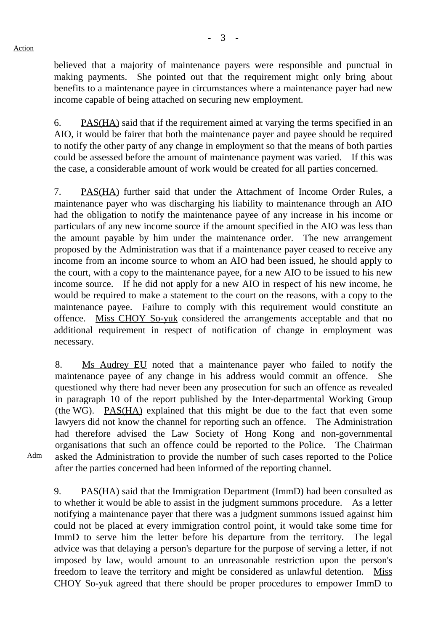believed that a majority of maintenance payers were responsible and punctual in making payments. She pointed out that the requirement might only bring about benefits to a maintenance payee in circumstances where a maintenance payer had new income capable of being attached on securing new employment.

6. PAS(HA) said that if the requirement aimed at varying the terms specified in an AIO, it would be fairer that both the maintenance payer and payee should be required to notify the other party of any change in employment so that the means of both parties could be assessed before the amount of maintenance payment was varied. If this was the case, a considerable amount of work would be created for all parties concerned.

7. PAS(HA) further said that under the Attachment of Income Order Rules, a maintenance payer who was discharging his liability to maintenance through an AIO had the obligation to notify the maintenance payee of any increase in his income or particulars of any new income source if the amount specified in the AIO was less than the amount payable by him under the maintenance order. The new arrangement proposed by the Administration was that if a maintenance payer ceased to receive any income from an income source to whom an AIO had been issued, he should apply to the court, with a copy to the maintenance payee, for a new AIO to be issued to his new income source. If he did not apply for a new AIO in respect of his new income, he would be required to make a statement to the court on the reasons, with a copy to the maintenance payee. Failure to comply with this requirement would constitute an offence. Miss CHOY So-yuk considered the arrangements acceptable and that no additional requirement in respect of notification of change in employment was necessary.

8. Ms Audrey EU noted that a maintenance payer who failed to notify the maintenance payee of any change in his address would commit an offence. She questioned why there had never been any prosecution for such an offence as revealed in paragraph 10 of the report published by the Inter-departmental Working Group (the WG). PAS(HA) explained that this might be due to the fact that even some lawyers did not know the channel for reporting such an offence. The Administration had therefore advised the Law Society of Hong Kong and non-governmental organisations that such an offence could be reported to the Police. The Chairman asked the Administration to provide the number of such cases reported to the Police after the parties concerned had been informed of the reporting channel.

Adm

9. PAS(HA) said that the Immigration Department (ImmD) had been consulted as to whether it would be able to assist in the judgment summons procedure. As a letter notifying a maintenance payer that there was a judgment summons issued against him could not be placed at every immigration control point, it would take some time for ImmD to serve him the letter before his departure from the territory. The legal advice was that delaying a person's departure for the purpose of serving a letter, if not imposed by law, would amount to an unreasonable restriction upon the person's freedom to leave the territory and might be considered as unlawful detention. Miss CHOY So-yuk agreed that there should be proper procedures to empower ImmD to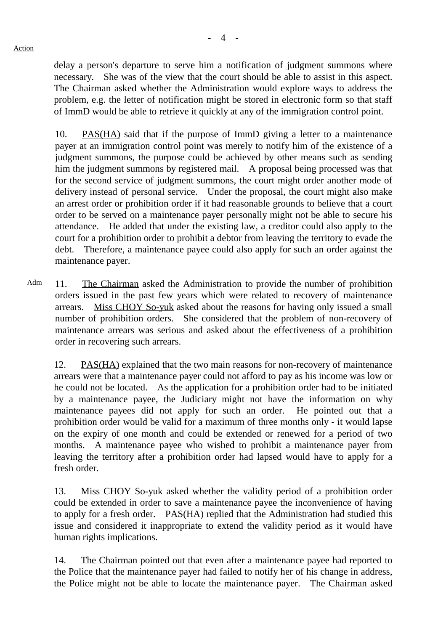delay a person's departure to serve him a notification of judgment summons where necessary. She was of the view that the court should be able to assist in this aspect. The Chairman asked whether the Administration would explore ways to address the problem, e.g. the letter of notification might be stored in electronic form so that staff of ImmD would be able to retrieve it quickly at any of the immigration control point.

10. PAS(HA) said that if the purpose of ImmD giving a letter to a maintenance payer at an immigration control point was merely to notify him of the existence of a judgment summons, the purpose could be achieved by other means such as sending him the judgment summons by registered mail. A proposal being processed was that for the second service of judgment summons, the court might order another mode of delivery instead of personal service. Under the proposal, the court might also make an arrest order or prohibition order if it had reasonable grounds to believe that a court order to be served on a maintenance payer personally might not be able to secure his attendance. He added that under the existing law, a creditor could also apply to the court for a prohibition order to prohibit a debtor from leaving the territory to evade the debt. Therefore, a maintenance payee could also apply for such an order against the maintenance payer.

Adm 11. The Chairman asked the Administration to provide the number of prohibition orders issued in the past few years which were related to recovery of maintenance arrears. Miss CHOY So-yuk asked about the reasons for having only issued a small number of prohibition orders. She considered that the problem of non-recovery of maintenance arrears was serious and asked about the effectiveness of a prohibition order in recovering such arrears.

12. PAS(HA) explained that the two main reasons for non-recovery of maintenance arrears were that a maintenance payer could not afford to pay as his income was low or he could not be located. As the application for a prohibition order had to be initiated by a maintenance payee, the Judiciary might not have the information on why maintenance payees did not apply for such an order. He pointed out that a prohibition order would be valid for a maximum of three months only - it would lapse on the expiry of one month and could be extended or renewed for a period of two months. A maintenance payee who wished to prohibit a maintenance payer from leaving the territory after a prohibition order had lapsed would have to apply for a fresh order.

13. Miss CHOY So-yuk asked whether the validity period of a prohibition order could be extended in order to save a maintenance payee the inconvenience of having to apply for a fresh order. PAS(HA) replied that the Administration had studied this issue and considered it inappropriate to extend the validity period as it would have human rights implications.

14. The Chairman pointed out that even after a maintenance payee had reported to the Police that the maintenance payer had failed to notify her of his change in address, the Police might not be able to locate the maintenance payer. The Chairman asked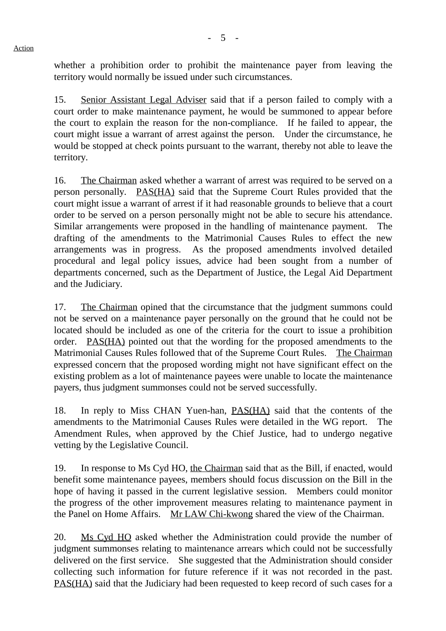whether a prohibition order to prohibit the maintenance payer from leaving the territory would normally be issued under such circumstances.

15. Senior Assistant Legal Adviser said that if a person failed to comply with a court order to make maintenance payment, he would be summoned to appear before the court to explain the reason for the non-compliance. If he failed to appear, the court might issue a warrant of arrest against the person. Under the circumstance, he would be stopped at check points pursuant to the warrant, thereby not able to leave the territory.

16. The Chairman asked whether a warrant of arrest was required to be served on a person personally. PAS(HA) said that the Supreme Court Rules provided that the court might issue a warrant of arrest if it had reasonable grounds to believe that a court order to be served on a person personally might not be able to secure his attendance. Similar arrangements were proposed in the handling of maintenance payment. The drafting of the amendments to the Matrimonial Causes Rules to effect the new arrangements was in progress. As the proposed amendments involved detailed procedural and legal policy issues, advice had been sought from a number of departments concerned, such as the Department of Justice, the Legal Aid Department and the Judiciary.

17. The Chairman opined that the circumstance that the judgment summons could not be served on a maintenance payer personally on the ground that he could not be located should be included as one of the criteria for the court to issue a prohibition order. PAS(HA) pointed out that the wording for the proposed amendments to the Matrimonial Causes Rules followed that of the Supreme Court Rules. The Chairman expressed concern that the proposed wording might not have significant effect on the existing problem as a lot of maintenance payees were unable to locate the maintenance payers, thus judgment summonses could not be served successfully.

18. In reply to Miss CHAN Yuen-han, PAS(HA) said that the contents of the amendments to the Matrimonial Causes Rules were detailed in the WG report. The Amendment Rules, when approved by the Chief Justice, had to undergo negative vetting by the Legislative Council.

19. In response to Ms Cyd HO, the Chairman said that as the Bill, if enacted, would benefit some maintenance payees, members should focus discussion on the Bill in the hope of having it passed in the current legislative session. Members could monitor the progress of the other improvement measures relating to maintenance payment in the Panel on Home Affairs. Mr LAW Chi-kwong shared the view of the Chairman.

20. Ms Cyd HO asked whether the Administration could provide the number of judgment summonses relating to maintenance arrears which could not be successfully delivered on the first service. She suggested that the Administration should consider collecting such information for future reference if it was not recorded in the past. PAS(HA) said that the Judiciary had been requested to keep record of such cases for a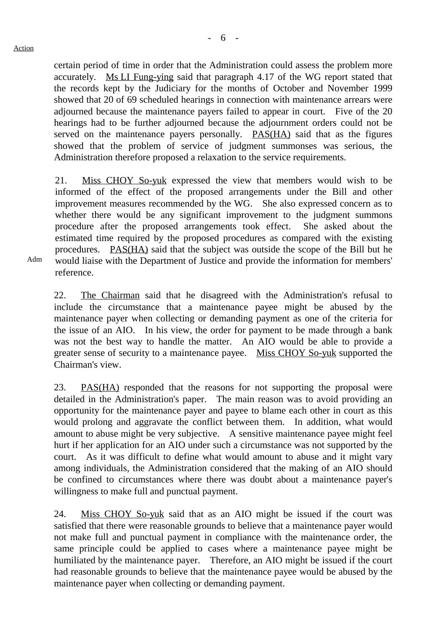certain period of time in order that the Administration could assess the problem more accurately. Ms LI Fung-ying said that paragraph 4.17 of the WG report stated that the records kept by the Judiciary for the months of October and November 1999 showed that 20 of 69 scheduled hearings in connection with maintenance arrears were adjourned because the maintenance payers failed to appear in court. Five of the 20 hearings had to be further adjourned because the adjournment orders could not be served on the maintenance payers personally. **PAS(HA)** said that as the figures showed that the problem of service of judgment summonses was serious, the Administration therefore proposed a relaxation to the service requirements.

21. Miss CHOY So-yuk expressed the view that members would wish to be informed of the effect of the proposed arrangements under the Bill and other improvement measures recommended by the WG. She also expressed concern as to whether there would be any significant improvement to the judgment summons procedure after the proposed arrangements took effect. She asked about the estimated time required by the proposed procedures as compared with the existing procedures. PAS(HA) said that the subject was outside the scope of the Bill but he would liaise with the Department of Justice and provide the information for members' reference.

22. The Chairman said that he disagreed with the Administration's refusal to include the circumstance that a maintenance payee might be abused by the maintenance payer when collecting or demanding payment as one of the criteria for the issue of an AIO. In his view, the order for payment to be made through a bank was not the best way to handle the matter. An AIO would be able to provide a greater sense of security to a maintenance payee. Miss CHOY So-yuk supported the Chairman's view.

23. PAS(HA) responded that the reasons for not supporting the proposal were detailed in the Administration's paper. The main reason was to avoid providing an opportunity for the maintenance payer and payee to blame each other in court as this would prolong and aggravate the conflict between them. In addition, what would amount to abuse might be very subjective. A sensitive maintenance payee might feel hurt if her application for an AIO under such a circumstance was not supported by the court. As it was difficult to define what would amount to abuse and it might vary among individuals, the Administration considered that the making of an AIO should be confined to circumstances where there was doubt about a maintenance payer's willingness to make full and punctual payment.

24. Miss CHOY So-yuk said that as an AIO might be issued if the court was satisfied that there were reasonable grounds to believe that a maintenance payer would not make full and punctual payment in compliance with the maintenance order, the same principle could be applied to cases where a maintenance payee might be humiliated by the maintenance payer. Therefore, an AIO might be issued if the court had reasonable grounds to believe that the maintenance payee would be abused by the maintenance payer when collecting or demanding payment.

Adm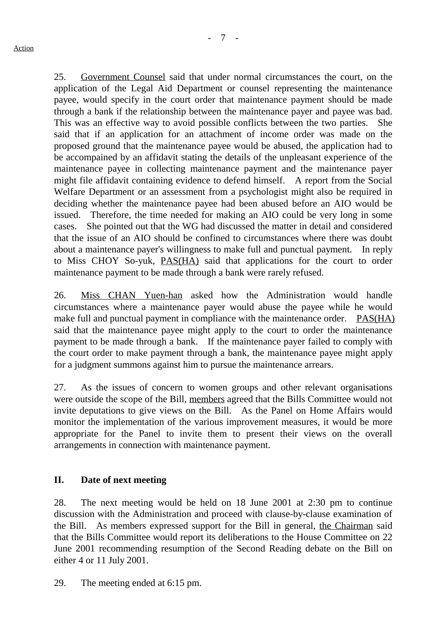25. Government Counsel said that under normal circumstances the court, on the application of the Legal Aid Department or counsel representing the maintenance payee, would specify in the court order that maintenance payment should be made through a bank if the relationship between the maintenance payer and payee was bad. This was an effective way to avoid possible conflicts between the two parties. She said that if an application for an attachment of income order was made on the proposed ground that the maintenance payee would be abused, the application had to be accompained by an affidavit stating the details of the unpleasant experience of the maintenance payee in collecting maintenance payment and the maintenance payer might file affidavit containing evidence to defend himself. A report from the Social Welfare Department or an assessment from a psychologist might also be required in deciding whether the maintenance payee had been abused before an AIO would be issued. Therefore, the time needed for making an AIO could be very long in some cases. She pointed out that the WG had discussed the matter in detail and considered that the issue of an AIO should be confined to circumstances where there was doubt about a maintenance payer's willingness to make full and punctual payment. In reply to Miss CHOY So-yuk, PAS(HA) said that applications for the court to order maintenance payment to be made through a bank were rarely refused.

26. Miss CHAN Yuen-han asked how the Administration would handle circumstances where a maintenance payer would abuse the payee while he would make full and punctual payment in compliance with the maintenance order. PAS(HA) said that the maintenance payee might apply to the court to order the maintenance payment to be made through a bank. If the maintenance payer failed to comply with the court order to make payment through a bank, the maintenance payee might apply for a judgment summons against him to pursue the maintenance arrears.

27. As the issues of concern to women groups and other relevant organisations were outside the scope of the Bill, members agreed that the Bills Committee would not invite deputations to give views on the Bill. As the Panel on Home Affairs would monitor the implementation of the various improvement measures, it would be more appropriate for the Panel to invite them to present their views on the overall arrangements in connection with maintenance payment.

#### **II. Date of next meeting**

28. The next meeting would be held on 18 June 2001 at 2:30 pm to continue discussion with the Administration and proceed with clause-by-clause examination of the Bill. As members expressed support for the Bill in general, the Chairman said that the Bills Committee would report its deliberations to the House Committee on 22 June 2001 recommending resumption of the Second Reading debate on the Bill on either 4 or 11 July 2001.

29. The meeting ended at 6:15 pm.